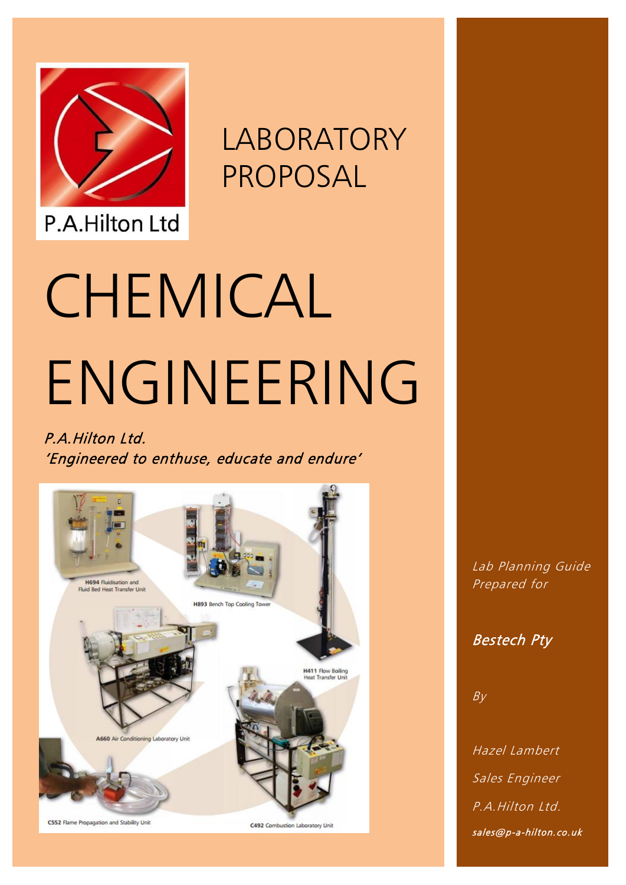

LABORATORY PROPOSAL

**Chemical Engineering Laboratory Proposal**

# P.A.Hilton Ltd

# CHEMICAL ENGINEERING

### P.A.Hilton Ltd. 'Engineered to enthuse, educate and endure'



Lab Planning Guide Prepared for

Bestech Pty

 $B_V$ 

Hazel Lambert Sales Engineer P.A.Hilton Ltd.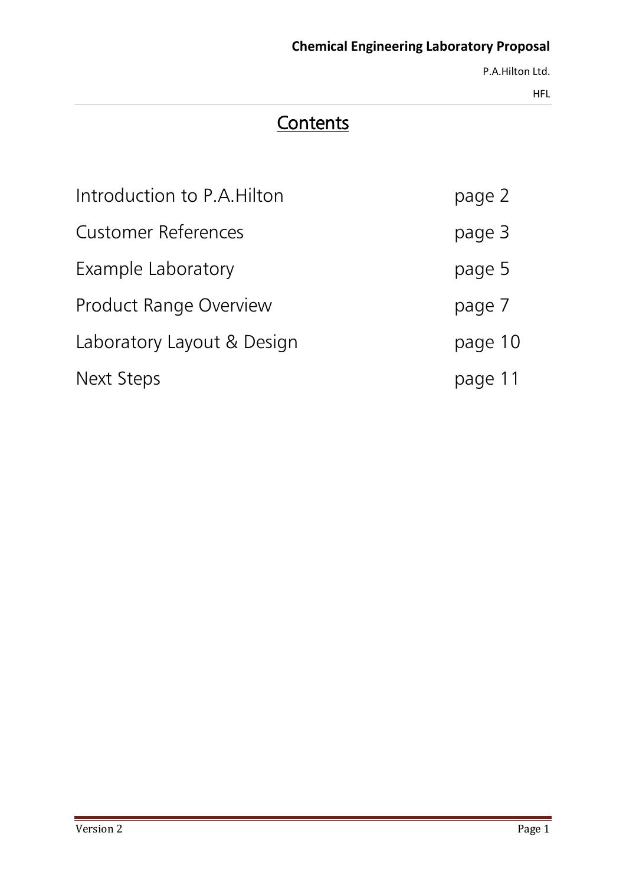P.A.Hilton Ltd.

HFL

# **Contents**

| Introduction to P.A. Hilton   | page 2  |
|-------------------------------|---------|
| <b>Customer References</b>    | page 3  |
| Example Laboratory            | page 5  |
| <b>Product Range Overview</b> | page 7  |
| Laboratory Layout & Design    | page 10 |
| Next Steps                    | page 11 |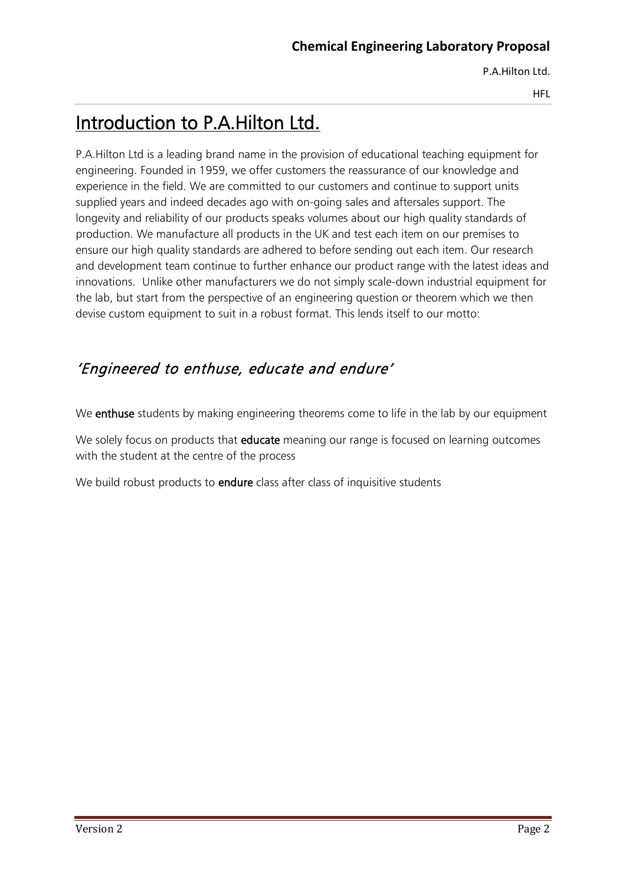HFL

# Introduction to P.A.Hilton Ltd.

P.A.Hilton Ltd is a leading brand name in the provision of educational teaching equipment for engineering. Founded in 1959, we offer customers the reassurance of our knowledge and experience in the field. We are committed to our customers and continue to support units supplied years and indeed decades ago with on-going sales and aftersales support. The longevity and reliability of our products speaks volumes about our high quality standards of production. We manufacture all products in the UK and test each item on our premises to ensure our high quality standards are adhered to before sending out each item. Our research and development team continue to further enhance our product range with the latest ideas and innovations. Unlike other manufacturers we do not simply scale-down industrial equipment for the lab, but start from the perspective of an engineering question or theorem which we then devise custom equipment to suit in a robust format. This lends itself to our motto:

### 'Engineered to enthuse, educate and endure'

We enthuse students by making engineering theorems come to life in the lab by our equipment

We solely focus on products that **educate** meaning our range is focused on learning outcomes with the student at the centre of the process

We build robust products to **endure** class after class of inquisitive students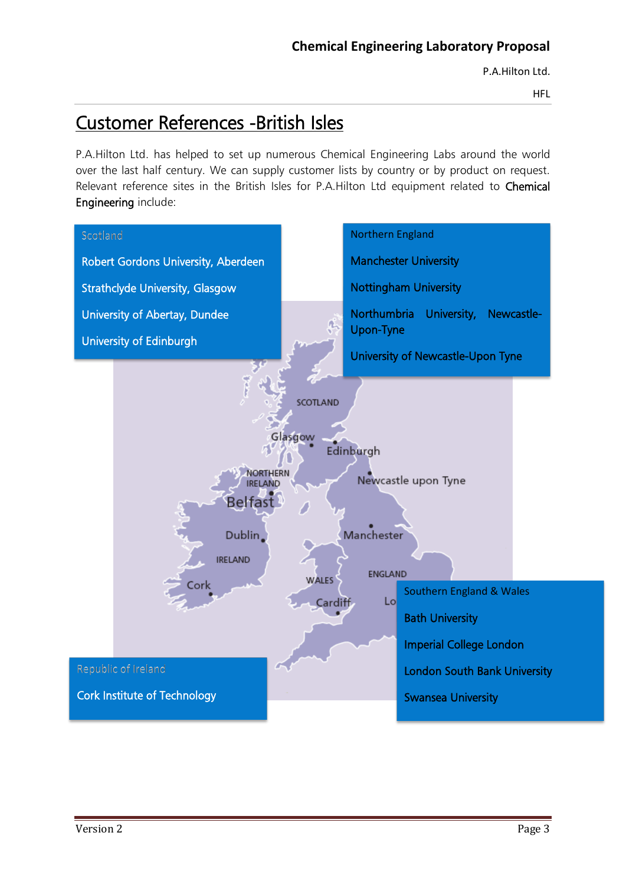HFL

# Customer References -British Isles

P.A.Hilton Ltd. has helped to set up numerous Chemical Engineering Labs around the world over the last half century. We can supply customer lists by country or by product on request. Relevant reference sites in the British Isles for P.A.Hilton Ltd equipment related to Chemical Engineering include:

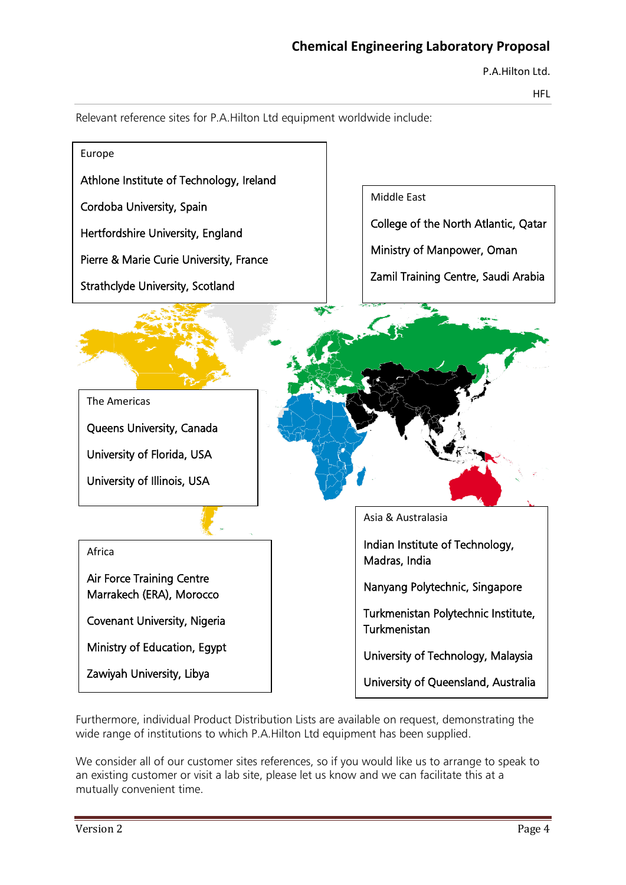P.A.Hilton Ltd.

HFL



Relevant reference sites for P.A.Hilton Ltd equipment worldwide include:

Ministry of Education, Egypt

Zawiyah University, Libya

University of Technology, Malaysia

University of Queensland, Australia

Furthermore, individual Product Distribution Lists are available on request, demonstrating the wide range of institutions to which P.A.Hilton Ltd equipment has been supplied.

We consider all of our customer sites references, so if you would like us to arrange to speak to an existing customer or visit a lab site, please let us know and we can facilitate this at a mutually convenient time.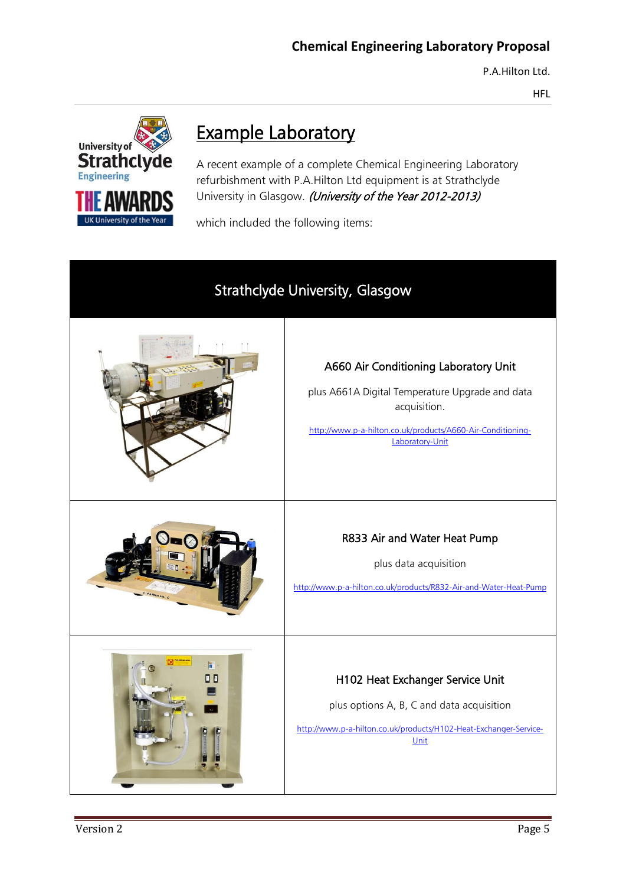HFL



# Example Laboratory

A recent example of a complete Chemical Engineering Laboratory refurbishment with P.A.Hilton Ltd equipment is at Strathclyde University in Glasgow. (University of the Year 2012-2013)

which included the following items:

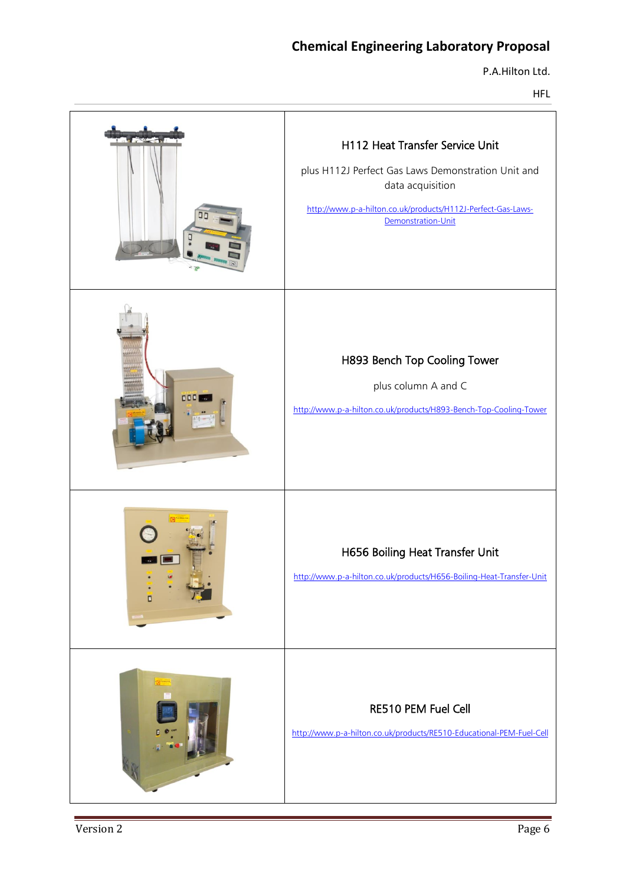P.A.Hilton Ltd.

HFL

|     | H112 Heat Transfer Service Unit<br>plus H112J Perfect Gas Laws Demonstration Unit and<br>data acquisition<br>http://www.p-a-hilton.co.uk/products/H112J-Perfect-Gas-Laws-<br>Demonstration-Unit |
|-----|-------------------------------------------------------------------------------------------------------------------------------------------------------------------------------------------------|
| 000 | H893 Bench Top Cooling Tower<br>plus column A and C<br>http://www.p-a-hilton.co.uk/products/H893-Bench-Top-Cooling-Tower                                                                        |
|     | H656 Boiling Heat Transfer Unit<br>http://www.p-a-hilton.co.uk/products/H656-Boiling-Heat-Transfer-Unit                                                                                         |
|     | RE510 PEM Fuel Cell<br>http://www.p-a-hilton.co.uk/products/RE510-Educational-PEM-Fuel-Cell                                                                                                     |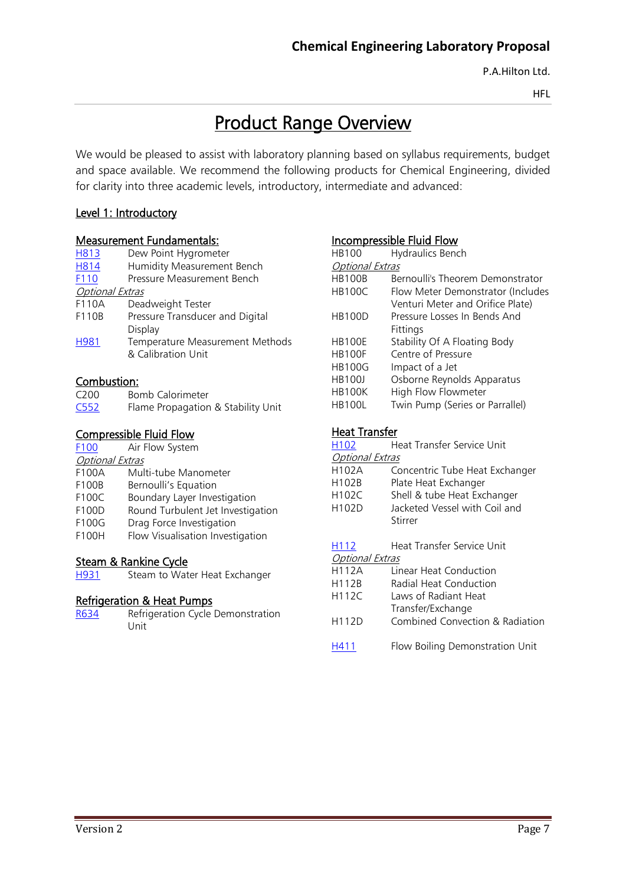HFL

# Product Range Overview

We would be pleased to assist with laboratory planning based on syllabus requirements, budget and space available. We recommend the following products for Chemical Engineering, divided for clarity into three academic levels, introductory, intermediate and advanced:

### Level 1: Introductory

### Measurement Fundamentals:

| H813                   | Dew Point Hygrometer            |
|------------------------|---------------------------------|
| <b>H814</b>            | Humidity Measurement Bench      |
| F110                   | Pressure Measurement Bench      |
| <b>Optional Extras</b> |                                 |
| F110A                  | Deadweight Tester               |
| F110B                  | Pressure Transducer and Digital |
|                        | Display                         |
| H <sub>981</sub>       | Temperature Measurement Methods |
|                        | & Calibration Unit              |
|                        |                                 |

### Combustion:

| C <sub>200</sub> | <b>Bomb Calorimeter</b>            |
|------------------|------------------------------------|
| C <sub>552</sub> | Flame Propagation & Stability Unit |

### Compressible Fluid Flow

| F100                   | Air Flow System                   |
|------------------------|-----------------------------------|
| <b>Optional Extras</b> |                                   |
| F100A                  | Multi-tube Manometer              |
| F100B                  | Bernoulli's Equation              |
| F100C                  | Boundary Layer Investigation      |
| F100D                  | Round Turbulent Jet Investigation |
| F100G                  | Drag Force Investigation          |
| F100H                  | Flow Visualisation Investigation  |

### Steam & Rankine Cycle

[H931](http://www.p-a-hilton.co.uk/products/H931-Steam-to-Water-Heat-Exchanger) Steam to Water Heat Exchanger

### Refrigeration & Heat Pumps

[R634](http://www.p-a-hilton.co.uk/products/R634-Refrigeration-Cycle-Demonstration-Unit) Refrigeration Cycle Demonstration Unit

### Incompressible Fluid Flow

| <b>HB100</b>           | Hydraulics Bench                  |
|------------------------|-----------------------------------|
| <b>Optional Extras</b> |                                   |
| <b>HB100B</b>          | Bernoulli's Theorem Demonstrator  |
| <b>HB100C</b>          | Flow Meter Demonstrator (Includes |
|                        | Venturi Meter and Orifice Plate)  |
| <b>HB100D</b>          | Pressure Losses In Bends And      |
|                        | Fittings                          |
| <b>HB100E</b>          | Stability Of A Floating Body      |
| <b>HB100F</b>          | Centre of Pressure                |
| <b>HB100G</b>          | Impact of a Jet                   |
| <b>HB100J</b>          | Osborne Reynolds Apparatus        |
| <b>HB100K</b>          | High Flow Flowmeter               |
| <b>HB100L</b>          | Twin Pump (Series or Parrallel)   |
|                        |                                   |

### Heat Transfer

| H <sub>102</sub>                 | Heat Transfer Service Unit                                                                                                        |
|----------------------------------|-----------------------------------------------------------------------------------------------------------------------------------|
| Optional Extras                  |                                                                                                                                   |
| H102A<br>H102B<br>H102C<br>H102D | Concentric Tube Heat Exchanger<br>Plate Heat Exchanger<br>Shell & tube Heat Exchanger<br>Jacketed Vessel with Coil and<br>Stirrer |
| H112                             | Heat Transfer Service Unit                                                                                                        |
| <b>Optional Extras</b>           |                                                                                                                                   |
| <b>H112A</b>                     | Linear Heat Conduction                                                                                                            |
| H112B                            | Radial Heat Conduction                                                                                                            |
| <b>H112C</b>                     | Laws of Radiant Heat<br>Transfer/Exchange                                                                                         |
| H112D                            | Combined Convection & Radiation                                                                                                   |
| H411                             | Flow Boiling Demonstration Unit                                                                                                   |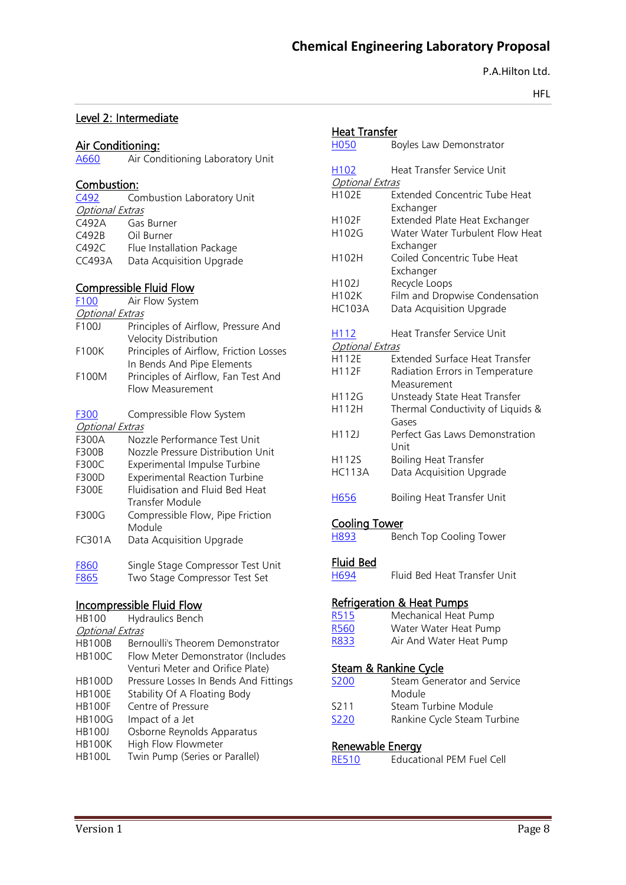P.A.Hilton Ltd.

HFL

### Level 2: Intermediate

# **Air Conditioning:**<br>A660 Air Cone

Air Conditioning Laboratory Unit

### Combustion:

| C492                   | Combustion Laboratory Unit |  |  |
|------------------------|----------------------------|--|--|
| <b>Optional Extras</b> |                            |  |  |
| C492A                  | Gas Burner                 |  |  |
| C492B                  | Oil Burner                 |  |  |
| C492C                  | Flue Installation Package  |  |  |
| <b>CC493A</b>          | Data Acquisition Upgrade   |  |  |

### Compressible Fluid Flow

| <b>Compressible Fluid Flow</b> |                                                                      |  |  |
|--------------------------------|----------------------------------------------------------------------|--|--|
| F <sub>100</sub>               | Air Flow System                                                      |  |  |
| <i>Optional Extras</i>         |                                                                      |  |  |
| F100J                          | Principles of Airflow, Pressure And<br>Velocity Distribution         |  |  |
| F100K                          | Principles of Airflow, Friction Losses<br>In Bends And Pipe Elements |  |  |
| F100M                          | Principles of Airflow, Fan Test And<br>Flow Measurement              |  |  |
| F300                           | Compressible Flow System                                             |  |  |
| <b>Optional Extras</b>         |                                                                      |  |  |
| F300A                          | Nozzle Performance Test Unit                                         |  |  |
| F300B                          | Nozzle Pressure Distribution Unit                                    |  |  |
| F300C                          | Experimental Impulse Turbine                                         |  |  |
| F300D                          | <b>Experimental Reaction Turbine</b>                                 |  |  |
| F300E                          | Fluidisation and Fluid Bed Heat<br>Transfer Module                   |  |  |
| F300G                          | Compressible Flow, Pipe Friction<br>Module                           |  |  |
| FC301A                         | Data Acquisition Upgrade                                             |  |  |

[F860](http://www.p-a-hilton.co.uk/products/F860-Single-Stage-Compressor-Test-Unit) Single Stage Compressor Test Unit<br>F865 Two Stage Compressor Test Set Two Stage Compressor Test Set

### Incompressible Fluid Flow

| <b>HB100</b>           | <b>Hydraulics Bench</b>               |
|------------------------|---------------------------------------|
| <b>Optional Extras</b> |                                       |
| <b>HB100B</b>          | Bernoulli's Theorem Demonstrator      |
| <b>HB100C</b>          | Flow Meter Demonstrator (Includes     |
|                        | Venturi Meter and Orifice Plate)      |
| <b>HB100D</b>          | Pressure Losses In Bends And Fittings |
| <b>HB100E</b>          | Stability Of A Floating Body          |
| <b>HB100F</b>          | Centre of Pressure                    |
| <b>HB100G</b>          | Impact of a Jet                       |
| <b>HB100J</b>          | Osborne Reynolds Apparatus            |
| <b>HB100K</b>          | High Flow Flowmeter                   |
| <b>HB100L</b>          | Twin Pump (Series or Parallel)        |
|                        |                                       |

| <b>Heat Transfer</b>   |                                                   |
|------------------------|---------------------------------------------------|
| <b>H050</b>            | Boyles Law Demonstrator                           |
| H <sub>102</sub>       | Heat Transfer Service Unit                        |
| <b>Optional Extras</b> |                                                   |
| H102E                  | <b>Extended Concentric Tube Heat</b><br>Exchanger |
| H102F                  |                                                   |
|                        | Extended Plate Heat Exchanger                     |
| H102G                  | Water Water Turbulent Flow Heat<br>Exchanger      |
| H102H                  | Coiled Concentric Tube Heat                       |
|                        | Exchanger                                         |
| H102J                  | Recycle Loops                                     |
| H102K                  | Film and Dropwise Condensation                    |
| <b>HC103A</b>          | Data Acquisition Upgrade                          |
| H112                   | <b>Heat Transfer Service Unit</b>                 |
| <b>Optional Extras</b> |                                                   |
| H112E                  | <b>Extended Surface Heat Transfer</b>             |
| H112F                  | Radiation Errors in Temperature                   |
|                        | Measurement                                       |
| H112G                  | Unsteady State Heat Transfer                      |
| H112H                  | Thermal Conductivity of Liquids &                 |
|                        | Gases                                             |
| H112J                  | Perfect Gas Laws Demonstration                    |
|                        | Unit                                              |
| H112S                  | <b>Boiling Heat Transfer</b>                      |
| <b>HC113A</b>          | Data Acquisition Upgrade                          |
|                        |                                                   |
| H656                   | Boiling Heat Transfer Unit                        |
| <u>Cooling Tower</u>   |                                                   |
| <b>H893</b>            | Bench Top Cooling Tower                           |
| <u>Fluid Bed</u>       |                                                   |
|                        |                                                   |
| H694                   | Fluid Bed Heat Transfer Unit                      |
|                        | <b>Refrigeration &amp; Heat Pumps</b>             |
| <b>R515</b>            | Mechanical Heat Pump                              |
| <b>R560</b>            | Water Water Heat Pump                             |
| R833                   | Air And Water Heat Pump                           |
|                        | <u>Steam &amp; Rankine Cycle</u>                  |
| S200                   | Steam Generator and Service                       |
|                        | Module                                            |
|                        |                                                   |
| S211                   | Steam Turbine Module                              |
| <b>S220</b>            | Rankine Cycle Steam Turbine                       |

#### Renewable Energy

| <b>RE510</b> | <b>Educational PEM Fuel Cell</b> |  |  |
|--------------|----------------------------------|--|--|
|              |                                  |  |  |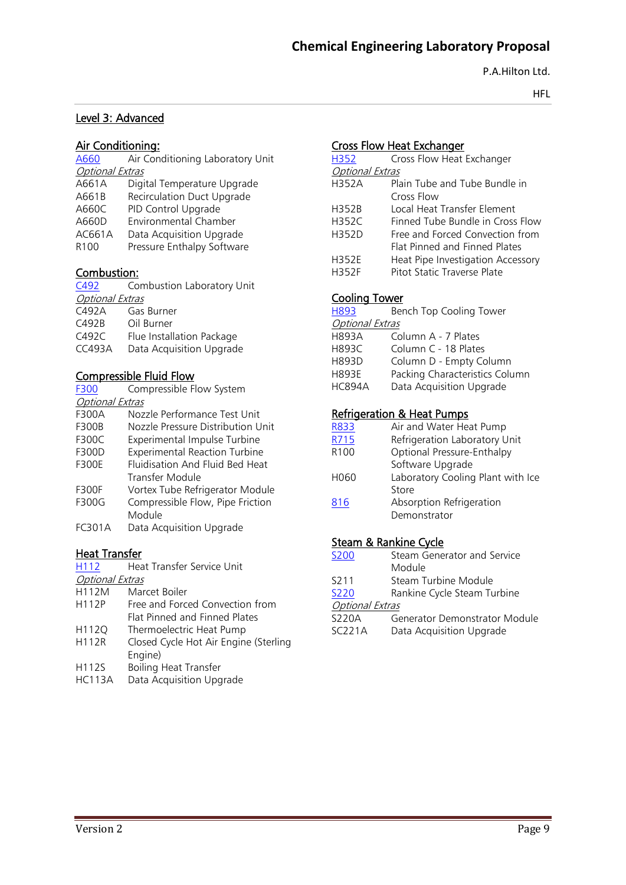HFL

### Level 3: Advanced

### Air Conditioning:

| A660                   | Air Conditioning Laboratory Unit |
|------------------------|----------------------------------|
| <b>Optional Extras</b> |                                  |
| A661A                  | Digital Temperature Upgrade      |
| A661B                  | Recirculation Duct Upgrade       |
| A660C                  | PID Control Upgrade              |
| A660D                  | <b>Environmental Chamber</b>     |
| AC661A                 | Data Acquisition Upgrade         |
| R <sub>100</sub>       | Pressure Enthalpy Software       |
|                        |                                  |

### Combustion:

| Combustion Laboratory Unit |  |  |
|----------------------------|--|--|
| <b>Optional Extras</b>     |  |  |
| Gas Burner                 |  |  |
| Oil Burner                 |  |  |
| Flue Installation Package  |  |  |
| Data Acquisition Upgrade   |  |  |
|                            |  |  |

### Compressible Fluid Flow

| F300                   | Compressible Flow System             |
|------------------------|--------------------------------------|
| <b>Optional Extras</b> |                                      |
| F300A                  | Nozzle Performance Test Unit         |
| <b>F300B</b>           | Nozzle Pressure Distribution Unit    |
| <b>F300C</b>           | <b>Experimental Impulse Turbine</b>  |
| <b>F300D</b>           | <b>Experimental Reaction Turbine</b> |
| <b>F300F</b>           | Fluidisation And Fluid Bed Heat      |
|                        | Transfer Module                      |
| <b>F300F</b>           | Vortex Tube Refrigerator Module      |
| F300G                  | Compressible Flow, Pipe Friction     |
|                        | Module                               |
| FC301A                 | Data Acquisition Upgrade             |
|                        |                                      |

### Heat Transfer

H<sub>112</sub> Heat Transfer Service Unit

Optional Extras

- H112M Marcet Boiler
- H112P Free and Forced Convection from Flat Pinned and Finned Plates
- H112Q Thermoelectric Heat Pump
- H112R Closed Cycle Hot Air Engine (Sterling Engine)
- H112S Boiling Heat Transfer
- HC113A Data Acquisition Upgrade

### Cross Flow Heat Exchanger

| H352                   | Cross Flow Heat Exchanger         |
|------------------------|-----------------------------------|
| <b>Optional Extras</b> |                                   |
| <b>H352A</b>           | Plain Tube and Tube Bundle in     |
|                        | Cross Flow                        |
| H352B                  | Local Heat Transfer Flement       |
| <b>H352C</b>           | Finned Tube Bundle in Cross Flow  |
| H352D                  | Free and Forced Convection from   |
|                        | Flat Pinned and Finned Plates     |
| <b>H352E</b>           | Heat Pipe Investigation Accessory |
| H352F                  | Pitot Static Traverse Plate       |

### Cooling Tower

| H893                   | Bench Top Cooling Tower        |  |
|------------------------|--------------------------------|--|
| <b>Optional Extras</b> |                                |  |
| <b>H893A</b>           | Column A - 7 Plates            |  |
| <b>H893C</b>           | Column C - 18 Plates           |  |
| <b>H893D</b>           | Column D - Empty Column        |  |
| <b>H893F</b>           | Packing Characteristics Column |  |
| <b>HC894A</b>          | Data Acquisition Upgrade       |  |
|                        |                                |  |

### Refrigeration & Heat Pumps

| R833             | Air and Water Heat Pump           |
|------------------|-----------------------------------|
| R715             | Refrigeration Laboratory Unit     |
| R <sub>100</sub> | Optional Pressure-Enthalpy        |
|                  | Software Upgrade                  |
| H060             | Laboratory Cooling Plant with Ice |
|                  | Store                             |
| 816              | Absorption Refrigeration          |
|                  | Demonstrator                      |

### Steam & Rankine Cycle

[S200](http://www.p-a-hilton.co.uk/products/S200-Steam-Generator-and-Service-Module) Steam Generator and Service Module S211 Steam Turbine Module<br>S220 Rankine Cycle Steam Tu Rankine Cycle Steam Turbine **Optional Extras**<br>S220A Ge <u>sis</u><br>Conorator Demonstrator Module

| SZZUA  | Generator Demonstrator Module |
|--------|-------------------------------|
| SC221A | Data Acquisition Upgrade      |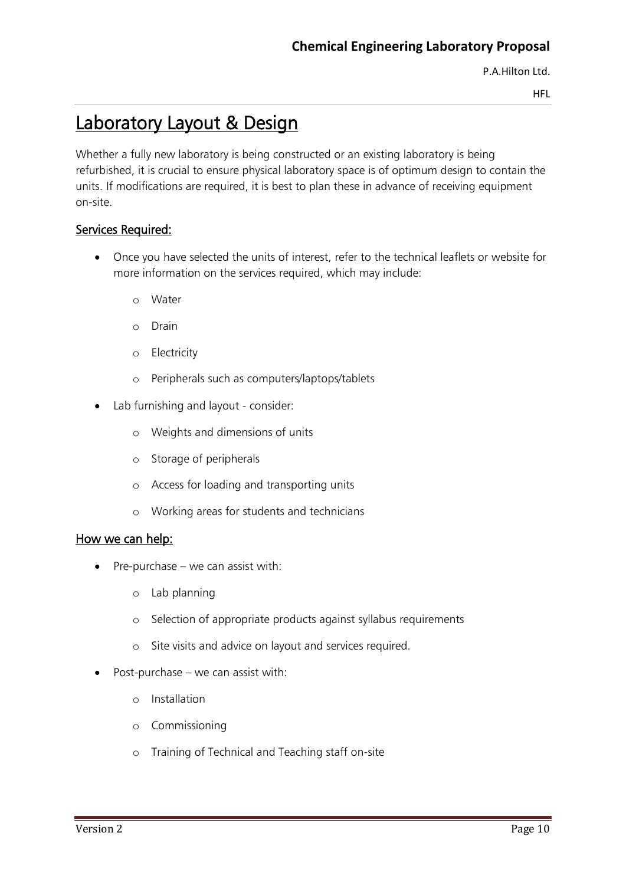HFL

# Laboratory Layout & Design

Whether a fully new laboratory is being constructed or an existing laboratory is being refurbished, it is crucial to ensure physical laboratory space is of optimum design to contain the units. If modifications are required, it is best to plan these in advance of receiving equipment on-site.

### Services Required:

- Once you have selected the units of interest, refer to the technical leaflets or website for more information on the services required, which may include:
	- o Water
	- o Drain
	- o Electricity
	- o Peripherals such as computers/laptops/tablets
- Lab furnishing and layout consider:
	- o Weights and dimensions of units
	- o Storage of peripherals
	- o Access for loading and transporting units
	- o Working areas for students and technicians

### How we can help:

- $\bullet$  Pre-purchase we can assist with:
	- o Lab planning
	- o Selection of appropriate products against syllabus requirements
	- o Site visits and advice on layout and services required.
- $\bullet$  Post-purchase we can assist with:
	- o Installation
	- o Commissioning
	- o Training of Technical and Teaching staff on-site